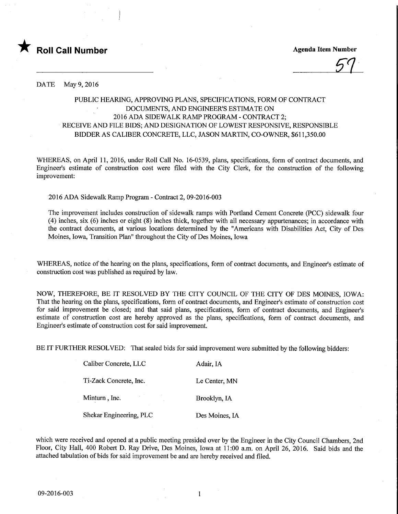

St

DATE May 9, 2016

## PUBLIC HEARING, APPROVING PLANS, SPECIFICATIONS, FORM OF CONTRACT DOCUMENTS, AND ENGINEER'S ESTIMATE ON 2016 ADA SIDEWALK RAMP PROGRAM - CONTRACT 2; RECEIVE AND FILE BIDS; AND DESIGNATION OF LOWEST RESPONSIVE, RESPONSIBLE BIDDER AS CALIBER CONCRETE, LLC, JASON MARTIN, CO-OWNER, \$611,350.00

WHEREAS, on April 11, 2016, under Roll Call No. 16-0539, plans, specifications, form of contract documents, and Engineer's estimate of construction cost were filed with the City Clerk, for the construction of the following improvement:

2016 ADA Sidewalk Ramp Program - Contract 2, 09-2016-003

The improvement includes construction of sidewalk ramps with Portland Cement Concrete (PCC) sidewalk four (4) inches, six (6) inches or eight (8) inches thick, together with all necessary appurtenances; in accordance with the contract documents, at various locations determined by the "Americans with Disabilities Act, City of Des Moines, Iowa, Transition Plan" throughout the City of Des Moines, Iowa

WHEREAS, notice of the hearing on the plans, specifications, form of contract documents, and Engineer's estimate of construction cost was published as required by law.

NOW, THEREFORE, BE IT RESOLVED BY THE CITY COUNCIL OF THE CITY OF DES MOINES, IOWA: That the hearing on the plans, specifications, form of contract documents, and Engineer's estimate of construction cost for said improvement be closed; and that said plans, specifications, form of contract documents, and Engineer's estimate of construction cost are hereby approved as the plans, specifications, form of contract documents, and Engineer's estimate of construction cost for said improvement.

BE IT FURTHER RESOLVED: That sealed bids for said improvement were submitted by the following bidders:

| Caliber Concrete, LLC   | Adair, IA      |
|-------------------------|----------------|
| Ti-Zack Concrete, Inc.  | Le Center, MN  |
| Minturn, Inc.           | Brooklyn, IA   |
| Shekar Engineering, PLC | Des Moines, IA |

which were received and opened at a public meeting presided over by the Engineer in the City Council Chambers, 2nd Floor, City Hall, 400 Robert D. Ray Drive, Des Moines, Iowa at 11:00 a.m. on April 26, 2016. Said bids and the attached tabulation of bids for said improvement be and are hereby received and filed.

 $\mathbf{1}$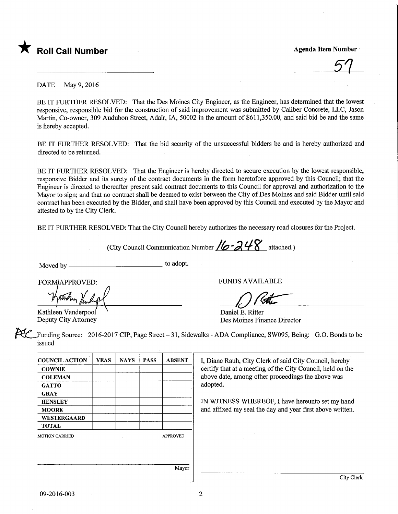

51

DATE May 9, 2016

BE IT FURTHER RESOLVED: That the Des Moines City Engineer, as the Engineer, has determined that the lowest responsive, responsible bid for the construction of said improvement was submitted by Caliber Concrete, LLC, Jason Martin, Co-owner, 309 Audubon Street, Adair, IA, 50002 in the amount of \$611,350.00, and said bid be and the same is hereby accepted.

BE IT FURTHER RESOLVED: That the bid security of the unsuccessful bidders be and is hereby authorized and directed to be returned.

BE IT FURTHER RESOLVED: That the Engineer is hereby directed to secure execution by the lowest responsible, responsive Bidder and its surety of the contract documents in the form heretofore approved by this Council; that the Engineer is directed to thereafter present said contract documents to this Council for approval and authorization to the Mayor to sign; and that no contract shall be deemed to exist between the City of Des Moines and said Bidder until said contract has been executed by the Bidder, and shall have been approved by this Council and executed by the Mayor and attested to by the City Clerk.

BE IT FURTHER RESOLVED: That the City Council hereby authorizes the necessary road closures for the Project.

(City Council Communication Number  $/6 - 248$  attached.)

Moved by to adopt.

Kathleen Vanderpool Deputy City Attorney

FORM/APPROVED: FUNDS AVAILABLE

 $O$  Ret

Daniel E. Ritter Des Moines Finance Director

Funding Source: 2016-2017 CIP, Page Street - 31, Sidewalks - ADA Compliance, SW095, Being: G.O. Bonds to be issued

| <b>COUNCIL ACTION</b> | <b>YEAS</b> | <b>NAYS</b> | <b>PASS</b> | <b>ABSENT</b>   |
|-----------------------|-------------|-------------|-------------|-----------------|
| <b>COWNIE</b>         |             |             |             |                 |
| <b>COLEMAN</b>        |             |             |             |                 |
| <b>GATTO</b>          |             |             |             |                 |
| <b>GRAY</b>           |             |             |             |                 |
| <b>HENSLEY</b>        |             |             |             |                 |
| <b>MOORE</b>          |             |             |             |                 |
| <b>WESTERGAARD</b>    |             |             |             |                 |
| <b>TOTAL</b>          |             |             |             |                 |
| <b>MOTION CARRIED</b> |             |             |             | <b>APPROVED</b> |
|                       |             |             |             |                 |
|                       |             |             |             |                 |
|                       |             |             |             |                 |
|                       |             |             |             | Mayor           |

I, Diane Rauh, City Clerk of said City Council, hereby certify that at a meeting of the City Council, held on the above date, among other proceedings the above was adopted.

IN WITNESS WHEREOF, I have hereunto set my hand and affixed my seal the day and year first above written.